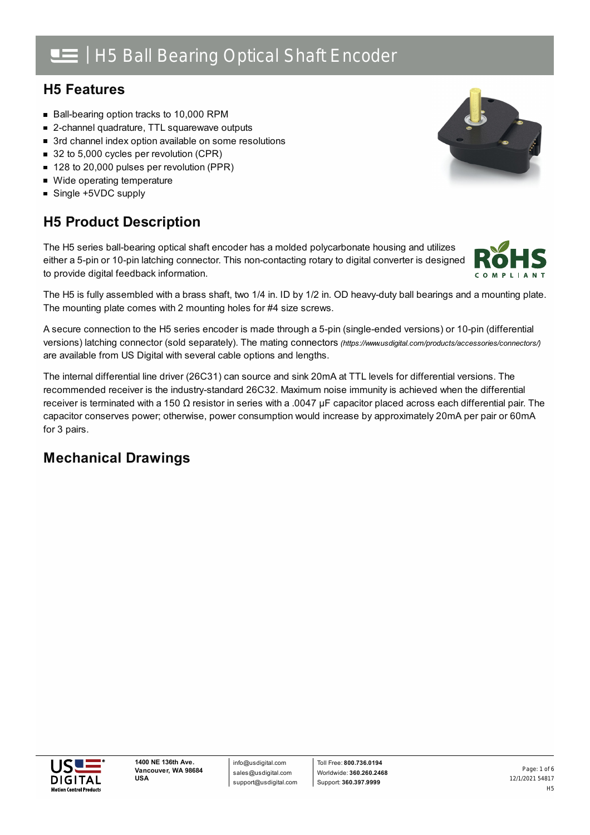## | H5 Ball Bearing Optical Shaft Encoder

## **H5 Features**

- Ball-bearing option tracks to 10,000 RPM
- 2-channel quadrature, TTL squarewave outputs
- 3rd channel index option available on some resolutions
- 32 to 5,000 cycles per revolution (CPR)
- 128 to 20,000 pulses per revolution (PPR)
- Wide operating temperature
- Single +5VDC supply

## **H5 Product Description**

The H5 series ball-bearing optical shaft encoder has a molded polycarbonate housing and utilizes either a 5-pin or 10-pin latching connector. This non-contacting rotary to digital converter is designed to provide digital feedback information.

The H5 is fully assembled with a brass shaft, two 1/4 in. ID by 1/2 in. OD heavy-duty ball bearings and a mounting plate. The mounting plate comes with 2 mounting holes for #4 size screws.

A secure connection to the H5 series encoder is made through a 5-pin (single-ended versions) or 10-pin (differential versions) latching connector (sold separately). The mating connectors *[\(https://www.usdigital.com/products/accessories/connectors/\)](https://www.usdigital.com/products/accessories/connectors/)* are available from US Digital with several cable options and lengths.

The internal differential line driver (26C31) can source and sink 20mA at TTL levels for differential versions. The recommended receiver is the industry-standard 26C32. Maximum noise immunity is achieved when the differential receiver is terminated with a 150 Ω resistor in series with a .0047  $\mu$ F capacitor placed across each differential pair. The capacitor conserves power; otherwise, power consumption would increase by approximately 20mA per pair or 60mA for 3 pairs.

## **Mechanical Drawings**





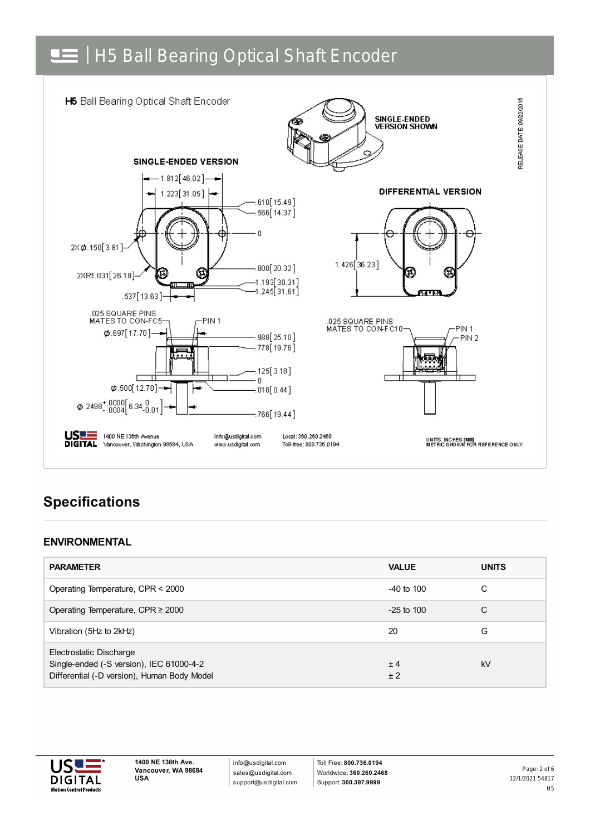# H5 Ball Bearing Optical Shaft Encoder



## **Specifications**

#### **ENVIRONMENTAL**

| <b>PARAMETER</b>                                                                                                   | <b>VALUE</b>   | <b>UNITS</b> |
|--------------------------------------------------------------------------------------------------------------------|----------------|--------------|
| Operating Temperature, CPR < 2000                                                                                  | $-40$ to $100$ | C            |
| Operating Temperature, CPR $\geq$ 2000                                                                             | $-25$ to 100   | C            |
| Vibration (5Hz to 2kHz)                                                                                            | 20             | G            |
| Electrostatic Discharge<br>Single-ended (-S version), IEC 61000-4-2<br>Differential (-D version), Human Body Model | ± 4<br>±2      | kV           |



info@usdigital.com sales@usdigital.com support@usdigital.com

Toll Free: **800.736.0194** Worldwide: **360.260.2468** Support: **360.397.9999**

12/1/2021 54817 H5 Page: 2 of 6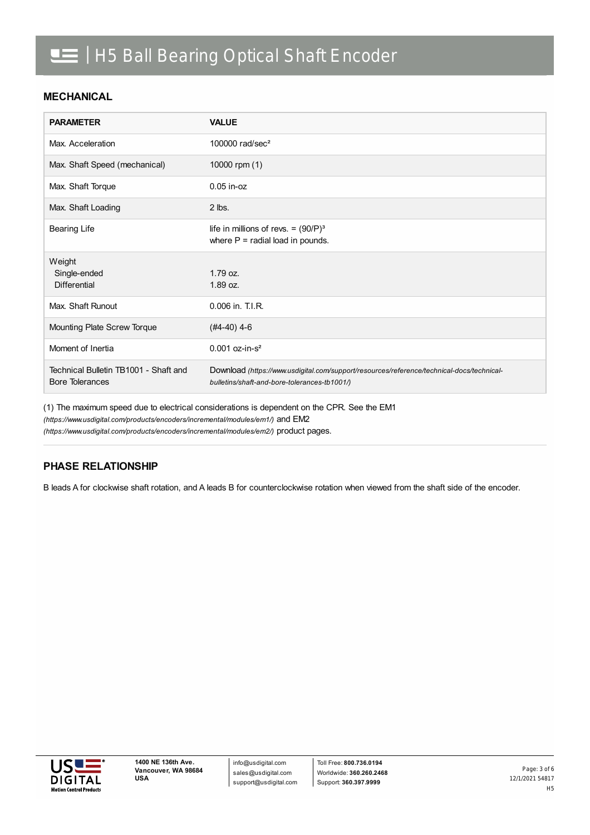#### **MECHANICAL**

| <b>PARAMETER</b>                                                | <b>VALUE</b>                                                                                                                              |
|-----------------------------------------------------------------|-------------------------------------------------------------------------------------------------------------------------------------------|
| Max. Acceleration                                               | 100000 rad/sec <sup>2</sup>                                                                                                               |
| Max. Shaft Speed (mechanical)                                   | 10000 rpm (1)                                                                                                                             |
| Max. Shaft Torque                                               | $0.05$ in- $oz$                                                                                                                           |
| Max. Shaft Loading                                              | $2$ lbs.                                                                                                                                  |
| <b>Bearing Life</b>                                             | life in millions of revs. = $(90/P)^3$<br>where $P =$ radial load in pounds.                                                              |
| Weight<br>Single-ended<br><b>Differential</b>                   | $1.79$ oz.<br>1.89 oz.                                                                                                                    |
| Max. Shaft Runout                                               | 0.006 in. T.I.R.                                                                                                                          |
| Mounting Plate Screw Torque                                     | $(#4-40)$ 4-6                                                                                                                             |
| Moment of Inertia                                               | $0.001$ oz-in-s <sup>2</sup>                                                                                                              |
| Technical Bulletin TB1001 - Shaft and<br><b>Bore Tolerances</b> | Download (https://www.usdigital.com/support/resources/reference/technical-docs/technical-<br>bulletins/shaft-and-bore-tolerances-tb1001/) |

(1) The maximum speed due to electrical considerations is dependent on the CPR. See the EM1

*(https://www.usdigital.com/products/encoders/incremental/modules/em1/)* and EM2

*(https://www.usdigital.com/products/encoders/incremental/modules/em2/)* product pages.

#### **PHASE RELATIONSHIP**

B leads A for clockwise shaft rotation, and A leads B for counterclockwise rotation when viewed from the shaft side of the encoder.

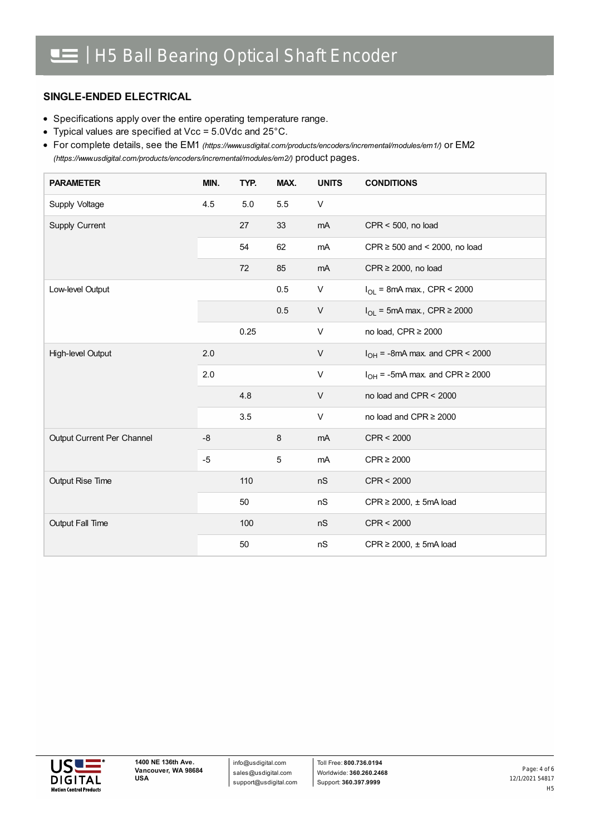#### **SINGLE-ENDED ELECTRICAL**

- Specifications apply over the entire operating temperature range.
- Typical values are specified at Vcc = 5.0Vdc and 25°C.

For complete details, see the EM1 *[\(https://www.usdigital.com/products/encoders/incremental/modules/em1/\)](https://www.usdigital.com/products/encoders/incremental/modules/em1/)* or EM2 *(https://www.usdigital.com/products/encoders/incremental/modules/em2/)* product pages.

| <b>PARAMETER</b>           | MIN. | TYP. | MAX.    | <b>UNITS</b> | <b>CONDITIONS</b>                        |
|----------------------------|------|------|---------|--------------|------------------------------------------|
| Supply Voltage             | 4.5  | 5.0  | 5.5     | V            |                                          |
| Supply Current             |      | 27   | 33      | mA           | $CPR < 500$ , no load                    |
|                            |      | 54   | 62      | mA           | CPR $\geq$ 500 and < 2000, no load       |
|                            |      | 72   | 85      | mA           | $CPR \ge 2000$ , no load                 |
| Low-level Output           |      |      | 0.5     | V            | $I_{OL}$ = 8mA max., CPR < 2000          |
|                            |      |      | 0.5     | V            | $I_{OL}$ = 5mA max., CPR $\geq$ 2000     |
|                            |      | 0.25 |         | V            | no load, CPR $\geq$ 2000                 |
| High-level Output          | 2.0  |      |         | V            | $I_{OH}$ = -8mA max. and CPR < 2000      |
|                            | 2.0  |      |         | V            | $I_{OH}$ = -5mA max. and CPR $\geq$ 2000 |
|                            |      | 4.8  |         | V            | no load and CPR < 2000                   |
|                            |      | 3.5  |         | $\mathsf{V}$ | no load and CPR $\geq$ 2000              |
| Output Current Per Channel | $-8$ |      | $\,8\,$ | mA           | CPR < 2000                               |
|                            | $-5$ |      | 5       | mA           | $CPR \geq 2000$                          |
| Output Rise Time           |      | 110  |         | nS           | CPR < 2000                               |
|                            |      | 50   |         | nS           | CPR $\geq$ 2000, $\pm$ 5mA load          |
| <b>Output Fall Time</b>    |      | 100  |         | nS           | CPR < 2000                               |
|                            |      | 50   |         | nS           | CPR $\geq$ 2000, $\pm$ 5mA load          |

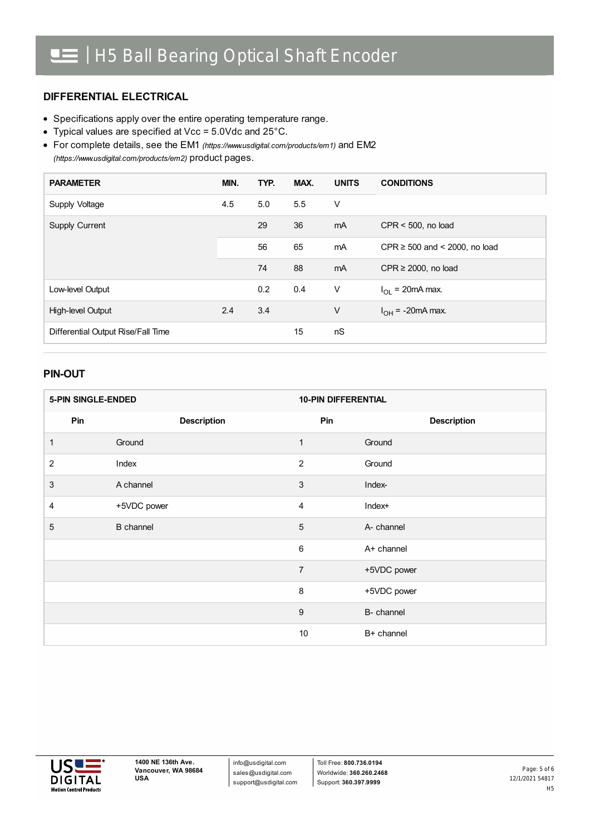#### **DIFFERENTIAL ELECTRICAL**

- Specifications apply over the entire operating temperature range.
- Typical values are specified at Vcc = 5.0Vdc and 25°C.
- For complete details, see the EM1 *[\(https://www.usdigital.com/products/em1\)](https://www.usdigital.com/products/em1)* and EM2 *(https://www.usdigital.com/products/em2)* product pages.

| <b>PARAMETER</b>                   | MIN. | TYP. | MAX. | <b>UNITS</b> | <b>CONDITIONS</b>                  |
|------------------------------------|------|------|------|--------------|------------------------------------|
| Supply Voltage                     | 4.5  | 5.0  | 5.5  | V            |                                    |
| <b>Supply Current</b>              |      | 29   | 36   | mA           | $CPR < 500$ , no load              |
|                                    |      | 56   | 65   | mA           | CPR $\geq$ 500 and < 2000, no load |
|                                    |      | 74   | 88   | mA           | CPR $\geq$ 2000, no load           |
| Low-level Output                   |      | 0.2  | 0.4  | V            | $I_{\Omega}$ = 20mA max.           |
| High-level Output                  | 2.4  | 3.4  |      | $\vee$       | $I_{OH}$ = -20mA max.              |
| Differential Output Rise/Fall Time |      |      | 15   | nS           |                                    |

#### **PIN-OUT**

| <b>5-PIN SINGLE-ENDED</b> |                    | <b>10-PIN DIFFERENTIAL</b> |                    |  |
|---------------------------|--------------------|----------------------------|--------------------|--|
| Pin                       | <b>Description</b> | Pin                        | <b>Description</b> |  |
| 1                         | Ground             | 1                          | Ground             |  |
| 2                         | Index              | $\overline{2}$             | Ground             |  |
| 3                         | A channel          | 3                          | Index-             |  |
| 4                         | +5VDC power        | $\overline{4}$             | Index+             |  |
| 5                         | <b>B</b> channel   | 5                          | A- channel         |  |
|                           |                    | 6                          | A+ channel         |  |
|                           |                    | $\overline{7}$             | +5VDC power        |  |
|                           |                    | $\, 8$                     | +5VDC power        |  |
|                           |                    | 9                          | B- channel         |  |
|                           |                    | 10                         | B+ channel         |  |



info@usdigital.com sales@usdigital.com support@usdigital.com

Toll Free: **800.736.0194** Worldwide: **360.260.2468** Support: **360.397.9999**

12/1/2021 54817 H5 Page: 5 of 6